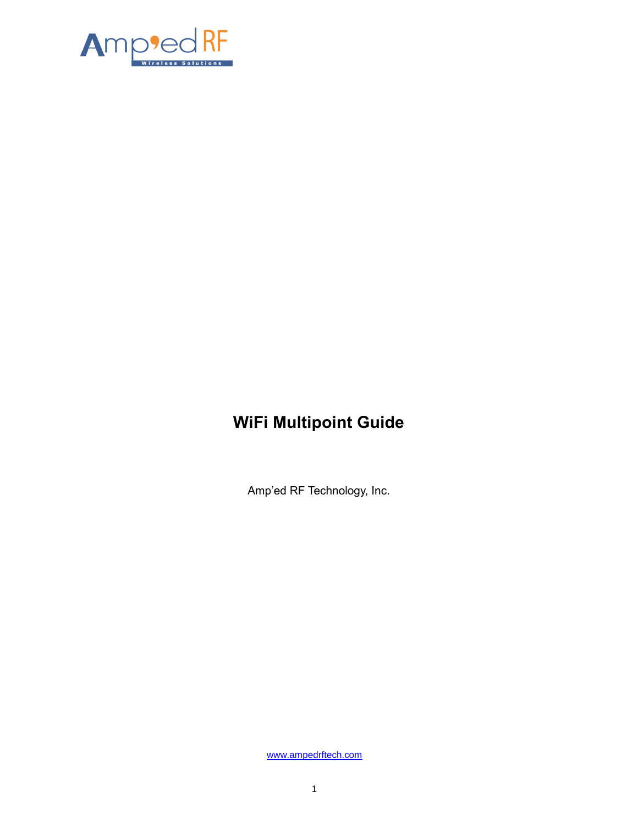

# **WiFi Multipoint Guide**

Amp'ed RF Technology, Inc.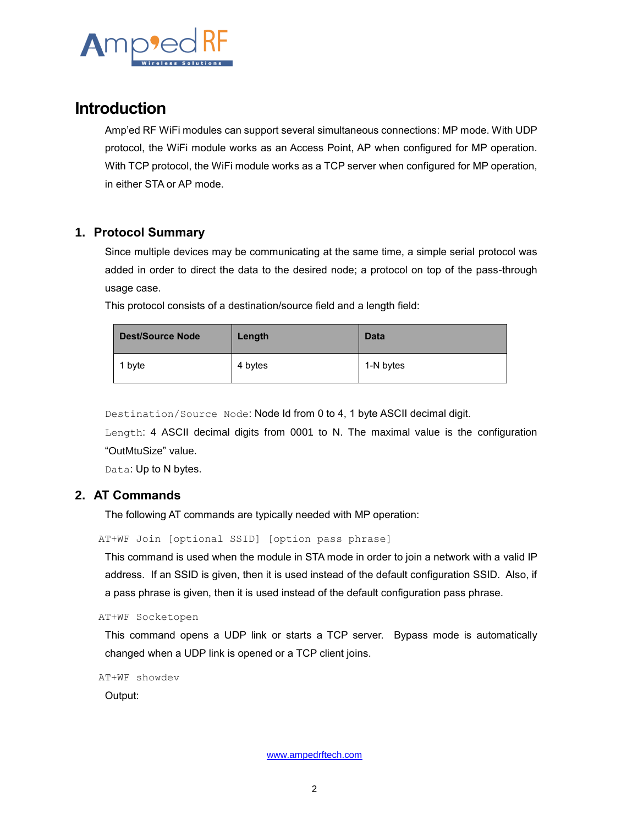

# **Introduction**

Amp'ed RF WiFi modules can support several simultaneous connections: MP mode. With UDP protocol, the WiFi module works as an Access Point, AP when configured for MP operation. With TCP protocol, the WiFi module works as a TCP server when configured for MP operation, in either STA or AP mode.

## **1. Protocol Summary**

Since multiple devices may be communicating at the same time, a simple serial protocol was added in order to direct the data to the desired node; a protocol on top of the pass-through usage case.

This protocol consists of a destination/source field and a length field:

| <b>Dest/Source Node</b> | Length  | <b>Data</b> |
|-------------------------|---------|-------------|
| 1 byte                  | 4 bytes | 1-N bytes   |

Destination/Source Node: Node Id from 0 to 4, 1 byte ASCII decimal digit.

Length: 4 ASCII decimal digits from 0001 to N. The maximal value is the configuration "OutMtuSize" value.

Data: Up to N bytes.

## **2. AT Commands**

The following AT commands are typically needed with MP operation:

AT+WF Join [optional SSID] [option pass phrase]

This command is used when the module in STA mode in order to join a network with a valid IP address. If an SSID is given, then it is used instead of the default configuration SSID. Also, if a pass phrase is given, then it is used instead of the default configuration pass phrase.

AT+WF Socketopen

This command opens a UDP link or starts a TCP server. Bypass mode is automatically changed when a UDP link is opened or a TCP client joins.

AT+WF showdev

Output: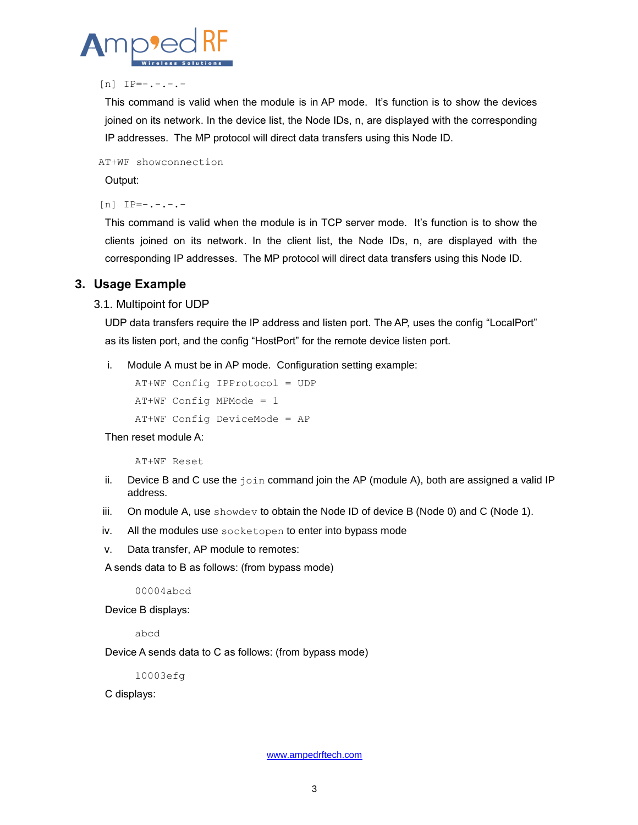

#### $[n]$  IP=-.-.-.-

This command is valid when the module is in AP mode. It's function is to show the devices joined on its network. In the device list, the Node IDs, n, are displayed with the corresponding IP addresses. The MP protocol will direct data transfers using this Node ID.

AT+WF showconnection

Output:

 $[n]$  IP=-.-.-.-

This command is valid when the module is in TCP server mode. It's function is to show the clients joined on its network. In the client list, the Node IDs, n, are displayed with the corresponding IP addresses. The MP protocol will direct data transfers using this Node ID.

#### **3. Usage Example**

#### 3.1. Multipoint for UDP

UDP data transfers require the IP address and listen port. The AP, uses the config "LocalPort" as its listen port, and the config "HostPort" for the remote device listen port.

i. Module A must be in AP mode. Configuration setting example:

```
AT+WF Config IPProtocol = UDP
AT+WF Config MPMode = 1
AT+WF Config DeviceMode = AP
```
Then reset module A:

AT+WF Reset

- ii. Device B and C use the  $j \circ i$ n command join the AP (module A), both are assigned a valid IP address.
- iii. On module A, use showdev to obtain the Node ID of device B (Node 0) and C (Node 1).
- iv. All the modules use socketopen to enter into bypass mode
- v. Data transfer, AP module to remotes:

A sends data to B as follows: (from bypass mode)

00004abcd

Device B displays:

abcd

Device A sends data to C as follows: (from bypass mode)

10003efg

C displays: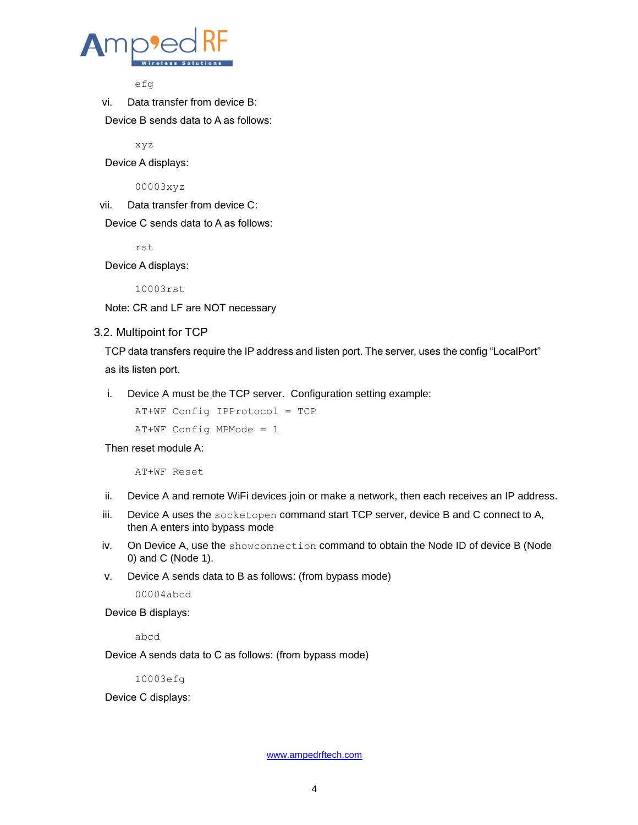

efg

vi. Data transfer from device B:

Device B sends data to A as follows:

xyz

Device A displays:

00003xyz

vii. Data transfer from device C:

Device C sends data to A as follows:

rst

Device A displays:

10003rst

Note: CR and LF are NOT necessary

#### 3.2. Multipoint for TCP

TCP data transfers require the IP address and listen port. The server, uses the config "LocalPort" as its listen port.

i. Device A must be the TCP server. Configuration setting example:

AT+WF Config IPProtocol = TCP

AT+WF Config MPMode = 1

Then reset module A:

AT+WF Reset

- ii. Device A and remote WiFi devices join or make a network, then each receives an IP address.
- iii. Device A uses the socketopen command start TCP server, device B and C connect to A, then A enters into bypass mode
- iv. On Device A, use the showconnection command to obtain the Node ID of device B (Node 0) and C (Node 1).
- v. Device A sends data to B as follows: (from bypass mode)

00004abcd

Device B displays:

abcd

Device A sends data to C as follows: (from bypass mode)

10003efg

Device C displays: